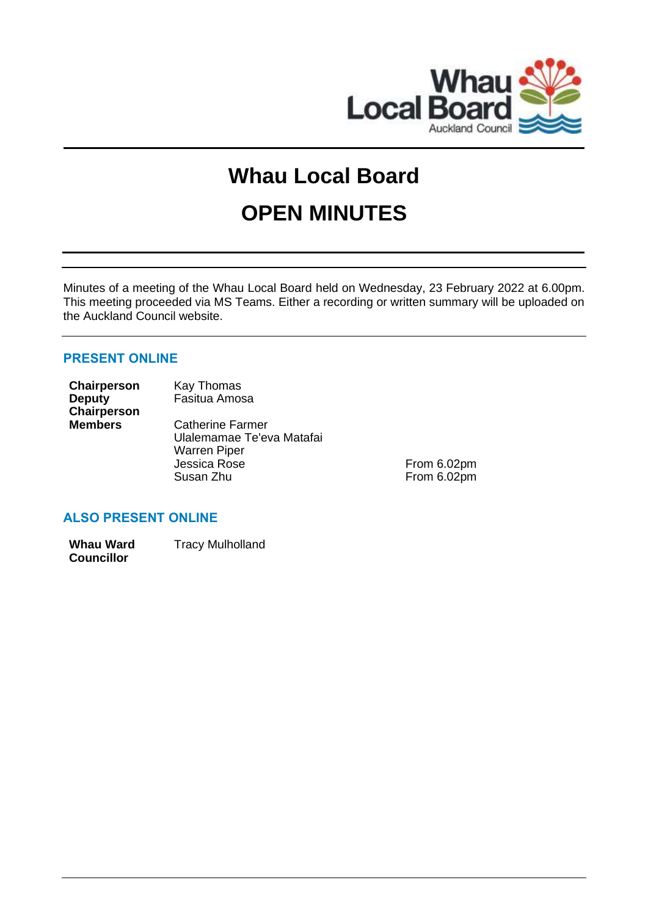

# **Whau Local Board**

## **OPEN MINUTES**

Minutes of a meeting of the Whau Local Board held on Wednesday, 23 February 2022 at 6.00pm. This meeting proceeded via MS Teams. Either a recording or written summary will be uploaded on the Auckland Council website.

## **PRESENT ONLINE**

| Chairperson    | Kay Thomas                |
|----------------|---------------------------|
| <b>Deputy</b>  | Fasitua Amosa             |
| Chairperson    |                           |
| <b>Members</b> | <b>Catherine Farmer</b>   |
|                | Ulalemamae Te'eva Matafai |
|                | <b>Warren Piper</b>       |
|                | Jessica Rose              |

Jessica Rose From 6.02pm<br>Susan Zhu From 6.02pm From 6.02pm

## **ALSO PRESENT ONLINE**

**Whau Ward Councillor** Tracy Mulholland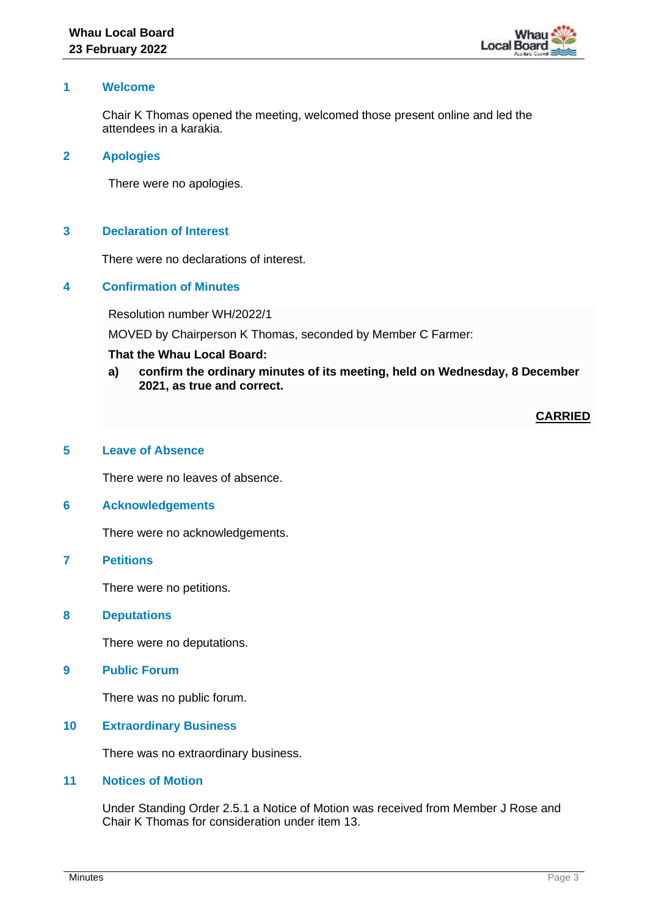

## **1 Welcome**

Chair K Thomas opened the meeting, welcomed those present online and led the attendees in a karakia.

#### **2 Apologies**

There were no apologies.

## **3 Declaration of Interest**

There were no declarations of interest.

## **4 Confirmation of Minutes**

Resolution number WH/2022/1

MOVED by Chairperson K Thomas, seconded by Member C Farmer:

## **That the Whau Local Board:**

**a) confirm the ordinary minutes of its meeting, held on Wednesday, 8 December 2021, as true and correct.**

**CARRIED**

#### **5 Leave of Absence**

There were no leaves of absence.

## **6 Acknowledgements**

There were no acknowledgements.

## **7 Petitions**

There were no petitions.

## **8 Deputations**

There were no deputations.

#### **9 Public Forum**

There was no public forum.

## **10 Extraordinary Business**

There was no extraordinary business.

## **11 Notices of Motion**

Under Standing Order 2.5.1 a Notice of Motion was received from Member J Rose and Chair K Thomas for consideration under item 13.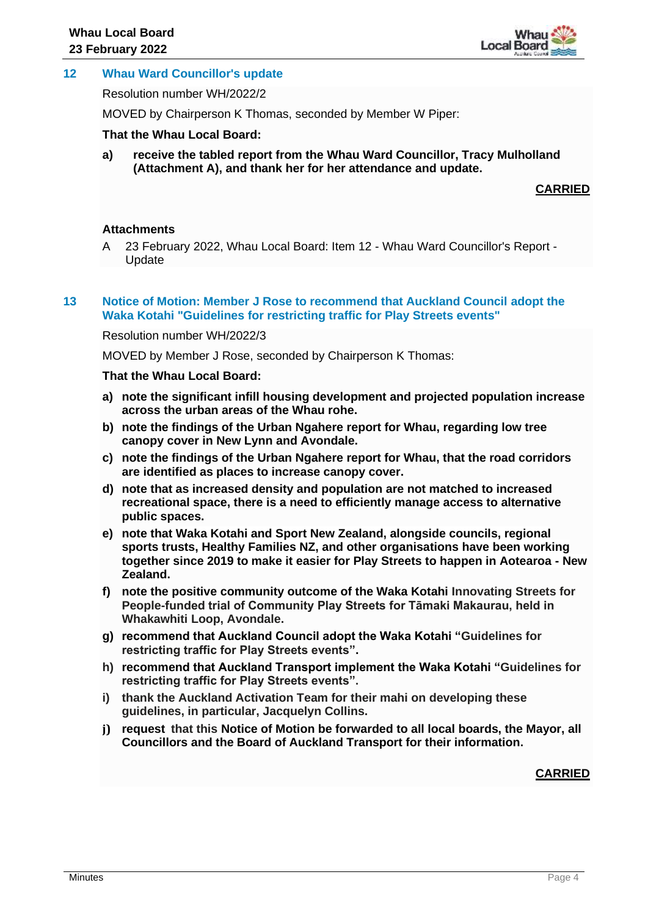

## **12 Whau Ward Councillor's update**

Resolution number WH/2022/2

MOVED by Chairperson K Thomas, seconded by Member W Piper:

**That the Whau Local Board:**

**a) receive the tabled report from the Whau Ward Councillor, Tracy Mulholland (Attachment A), and thank her for her attendance and update.**

## **CARRIED**

#### **Attachments**

A 23 February 2022, Whau Local Board: Item 12 - Whau Ward Councillor's Report - Update

#### **13 Notice of Motion: Member J Rose to recommend that Auckland Council adopt the Waka Kotahi "Guidelines for restricting traffic for Play Streets events"**

#### Resolution number WH/2022/3

MOVED by Member J Rose, seconded by Chairperson K Thomas:

#### **That the Whau Local Board:**

- **a) note the significant infill housing development and projected population increase across the urban areas of the Whau rohe.**
- **b) note the findings of the Urban Ngahere report for Whau, regarding low tree canopy cover in New Lynn and Avondale.**
- **c) note the findings of the Urban Ngahere report for Whau, that the road corridors are identified as places to increase canopy cover.**
- **d) note that as increased density and population are not matched to increased recreational space, there is a need to efficiently manage access to alternative public spaces.**
- **e) note that Waka Kotahi and Sport New Zealand, alongside councils, regional sports trusts, Healthy Families NZ, and other organisations have been working together since 2019 to make it easier for Play Streets to happen in Aotearoa - New Zealand.**
- **f) note the positive community outcome of the Waka Kotahi Innovating Streets for People-funded trial of Community Play Streets for Tāmaki Makaurau, held in Whakawhiti Loop, Avondale.**
- **g) recommend that Auckland Council adopt the Waka Kotahi "Guidelines for restricting traffic for Play Streets events".**
- **h) recommend that Auckland Transport implement the Waka Kotahi "Guidelines for restricting traffic for Play Streets events".**
- **i) thank the Auckland Activation Team for their mahi on developing these guidelines, in particular, Jacquelyn Collins.**
- **j) request that this Notice of Motion be forwarded to all local boards, the Mayor, all Councillors and the Board of Auckland Transport for their information.**

## **CARRIED**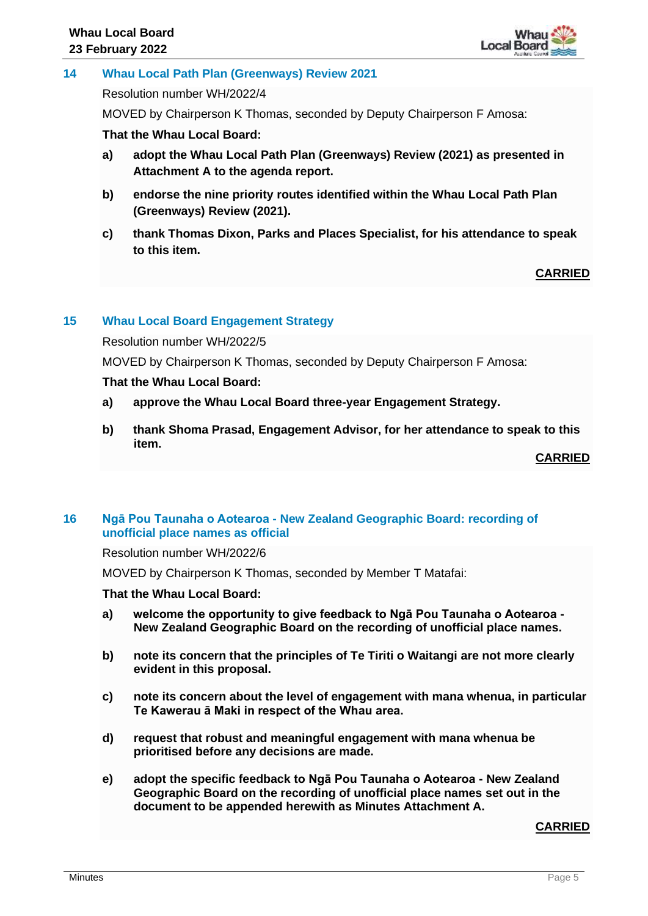

## **14 Whau Local Path Plan (Greenways) Review 2021**

Resolution number WH/2022/4

MOVED by Chairperson K Thomas, seconded by Deputy Chairperson F Amosa:

**That the Whau Local Board:**

- **a) adopt the Whau Local Path Plan (Greenways) Review (2021) as presented in Attachment A to the agenda report.**
- **b) endorse the nine priority routes identified within the Whau Local Path Plan (Greenways) Review (2021).**
- **c) thank Thomas Dixon, Parks and Places Specialist, for his attendance to speak to this item.**

## **CARRIED**

## **15 Whau Local Board Engagement Strategy**

Resolution number WH/2022/5

MOVED by Chairperson K Thomas, seconded by Deputy Chairperson F Amosa:

## **That the Whau Local Board:**

- **a) approve the Whau Local Board three-year Engagement Strategy.**
- **b) thank Shoma Prasad, Engagement Advisor, for her attendance to speak to this item.**

**CARRIED**

## **16 Ngā Pou Taunaha o Aotearoa - New Zealand Geographic Board: recording of unofficial place names as official**

Resolution number WH/2022/6

MOVED by Chairperson K Thomas, seconded by Member T Matafai:

## **That the Whau Local Board:**

- **a) welcome the opportunity to give feedback to Ngā Pou Taunaha o Aotearoa - New Zealand Geographic Board on the recording of unofficial place names.**
- **b) note its concern that the principles of Te Tiriti o Waitangi are not more clearly evident in this proposal.**
- **c) note its concern about the level of engagement with mana whenua, in particular Te Kawerau ā Maki in respect of the Whau area.**
- **d) request that robust and meaningful engagement with mana whenua be prioritised before any decisions are made.**
- **e) adopt the specific feedback to Ngā Pou Taunaha o Aotearoa - New Zealand Geographic Board on the recording of unofficial place names set out in the document to be appended herewith as Minutes Attachment A.**

## **CARRIED**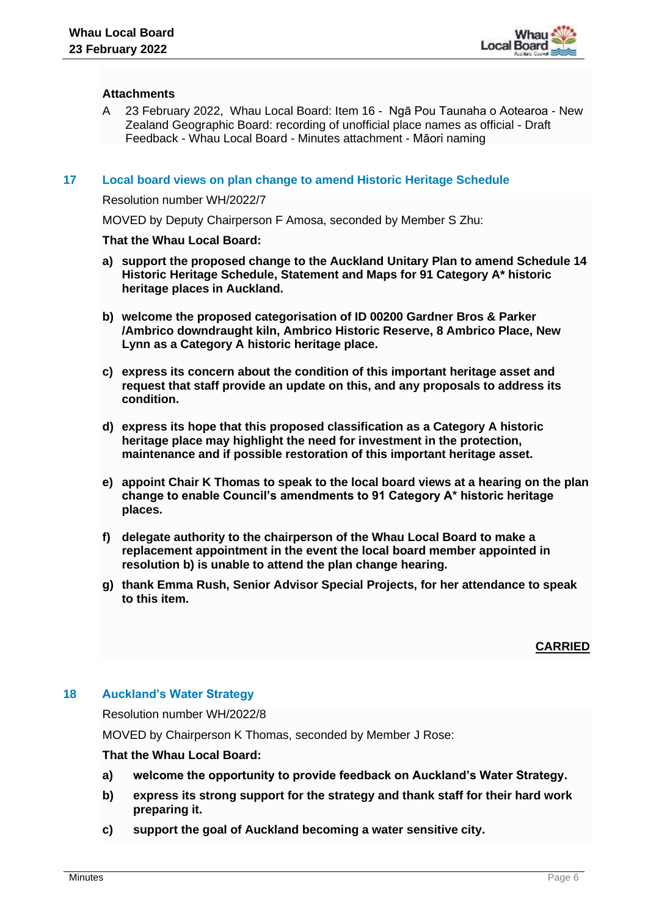

## **Attachments**

A 23 February 2022, Whau Local Board: Item 16 - Ngā Pou Taunaha o Aotearoa - New Zealand Geographic Board: recording of unofficial place names as official - Draft Feedback - Whau Local Board - Minutes attachment - Māori naming

#### **17 Local board views on plan change to amend Historic Heritage Schedule**

Resolution number WH/2022/7

MOVED by Deputy Chairperson F Amosa, seconded by Member S Zhu:

#### **That the Whau Local Board:**

- **a) support the proposed change to the Auckland Unitary Plan to amend Schedule 14 Historic Heritage Schedule, Statement and Maps for 91 Category A\* historic heritage places in Auckland.**
- **b) welcome the proposed categorisation of ID 00200 Gardner Bros & Parker /Ambrico downdraught kiln, Ambrico Historic Reserve, 8 Ambrico Place, New Lynn as a Category A historic heritage place.**
- **c) express its concern about the condition of this important heritage asset and request that staff provide an update on this, and any proposals to address its condition.**
- **d) express its hope that this proposed classification as a Category A historic heritage place may highlight the need for investment in the protection, maintenance and if possible restoration of this important heritage asset.**
- **e) appoint Chair K Thomas to speak to the local board views at a hearing on the plan change to enable Council's amendments to 91 Category A\* historic heritage places.**
- **f) delegate authority to the chairperson of the Whau Local Board to make a replacement appointment in the event the local board member appointed in resolution b) is unable to attend the plan change hearing.**
- **g) thank Emma Rush, Senior Advisor Special Projects, for her attendance to speak to this item.**

**CARRIED**

#### **18 Auckland's Water Strategy**

Resolution number WH/2022/8

MOVED by Chairperson K Thomas, seconded by Member J Rose:

#### **That the Whau Local Board:**

- **a) welcome the opportunity to provide feedback on Auckland's Water Strategy.**
- **b) express its strong support for the strategy and thank staff for their hard work preparing it.**
- **c) support the goal of Auckland becoming a water sensitive city.**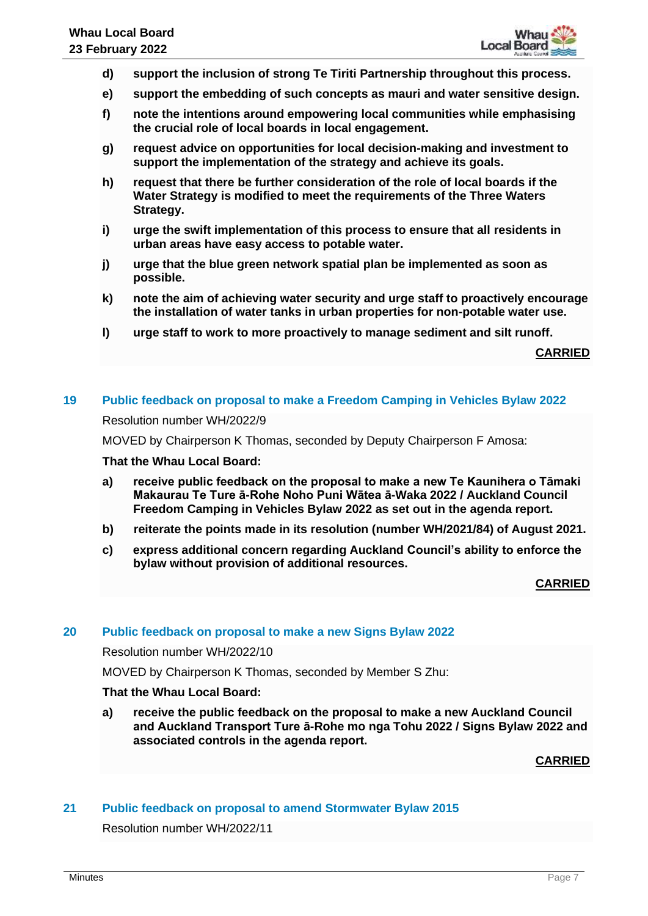- **d) support the inclusion of strong Te Tiriti Partnership throughout this process.**
- **e) support the embedding of such concepts as mauri and water sensitive design.**
- **f) note the intentions around empowering local communities while emphasising the crucial role of local boards in local engagement.**
- **g) request advice on opportunities for local decision-making and investment to support the implementation of the strategy and achieve its goals.**
- **h) request that there be further consideration of the role of local boards if the Water Strategy is modified to meet the requirements of the Three Waters Strategy.**
- **i) urge the swift implementation of this process to ensure that all residents in urban areas have easy access to potable water.**
- **j) urge that the blue green network spatial plan be implemented as soon as possible.**
- **k) note the aim of achieving water security and urge staff to proactively encourage the installation of water tanks in urban properties for non-potable water use.**
- **l) urge staff to work to more proactively to manage sediment and silt runoff.**

**CARRIED**

## **19 Public feedback on proposal to make a Freedom Camping in Vehicles Bylaw 2022**

Resolution number WH/2022/9

MOVED by Chairperson K Thomas, seconded by Deputy Chairperson F Amosa:

## **That the Whau Local Board:**

- **a) receive public feedback on the proposal to make a new Te Kaunihera o Tāmaki Makaurau Te Ture ā-Rohe Noho Puni Wātea ā-Waka 2022 / Auckland Council Freedom Camping in Vehicles Bylaw 2022 as set out in the agenda report.**
- **b) reiterate the points made in its resolution (number WH/2021/84) of August 2021.**
- **c) express additional concern regarding Auckland Council's ability to enforce the bylaw without provision of additional resources.**

**CARRIED**

## **20 Public feedback on proposal to make a new Signs Bylaw 2022**

Resolution number WH/2022/10

MOVED by Chairperson K Thomas, seconded by Member S Zhu:

#### **That the Whau Local Board:**

**a) receive the public feedback on the proposal to make a new Auckland Council and Auckland Transport Ture ā-Rohe mo nga Tohu 2022 / Signs Bylaw 2022 and associated controls in the agenda report.** 

**CARRIED**

## **21 Public feedback on proposal to amend Stormwater Bylaw 2015**

Resolution number WH/2022/11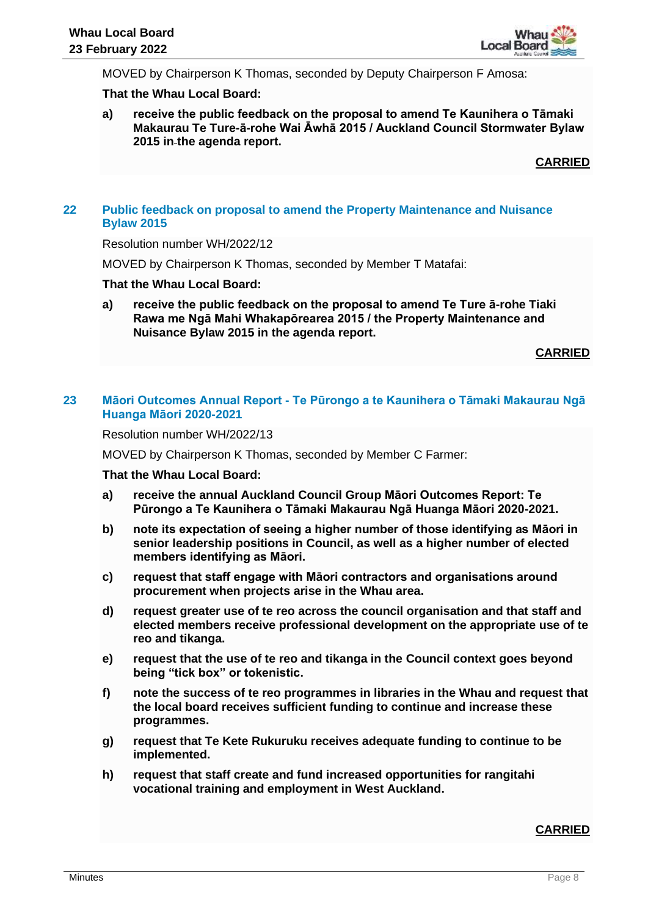MOVED by Chairperson K Thomas, seconded by Deputy Chairperson F Amosa:

#### **That the Whau Local Board:**

**a) receive the public feedback on the proposal to amend Te Kaunihera o Tāmaki Makaurau Te Ture-ā-rohe Wai Āwhā 2015 / Auckland Council Stormwater Bylaw 2015 in the agenda report.**

**CARRIED**

## **22 Public feedback on proposal to amend the Property Maintenance and Nuisance Bylaw 2015**

Resolution number WH/2022/12

MOVED by Chairperson K Thomas, seconded by Member T Matafai:

### **That the Whau Local Board:**

**a) receive the public feedback on the proposal to amend Te Ture ā-rohe Tiaki Rawa me Ngā Mahi Whakapōrearea 2015 / the Property Maintenance and Nuisance Bylaw 2015 in the agenda report.**

**CARRIED**

## **23 Māori Outcomes Annual Report - Te Pūrongo a te Kaunihera o Tāmaki Makaurau Ngā Huanga Māori 2020-2021**

Resolution number WH/2022/13

MOVED by Chairperson K Thomas, seconded by Member C Farmer:

**That the Whau Local Board:**

- **a) receive the annual Auckland Council Group Māori Outcomes Report: Te Pūrongo a Te Kaunihera o Tāmaki Makaurau Ngā Huanga Māori 2020-2021.**
- **b) note its expectation of seeing a higher number of those identifying as Māori in senior leadership positions in Council, as well as a higher number of elected members identifying as Māori.**
- **c) request that staff engage with Māori contractors and organisations around procurement when projects arise in the Whau area.**
- **d) request greater use of te reo across the council organisation and that staff and elected members receive professional development on the appropriate use of te reo and tikanga.**
- **e) request that the use of te reo and tikanga in the Council context goes beyond being "tick box" or tokenistic.**
- **f) note the success of te reo programmes in libraries in the Whau and request that the local board receives sufficient funding to continue and increase these programmes.**
- **g) request that Te Kete Rukuruku receives adequate funding to continue to be implemented.**
- **h) request that staff create and fund increased opportunities for rangitahi vocational training and employment in West Auckland.**

## **CARRIED**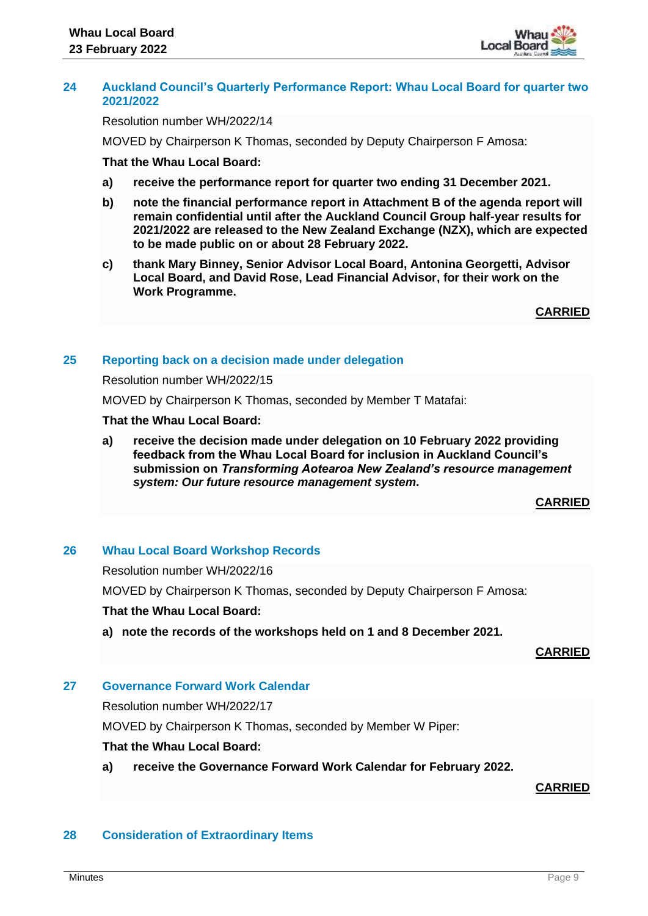

#### **24 Auckland Council's Quarterly Performance Report: Whau Local Board for quarter two 2021/2022**

Resolution number WH/2022/14

MOVED by Chairperson K Thomas, seconded by Deputy Chairperson F Amosa:

#### **That the Whau Local Board:**

- **a) receive the performance report for quarter two ending 31 December 2021.**
- **b) note the financial performance report in Attachment B of the agenda report will remain confidential until after the Auckland Council Group half-year results for 2021/2022 are released to the New Zealand Exchange (NZX), which are expected to be made public on or about 28 February 2022.**
- **c) thank Mary Binney, Senior Advisor Local Board, Antonina Georgetti, Advisor Local Board, and David Rose, Lead Financial Advisor, for their work on the Work Programme.**

**CARRIED**

#### **25 Reporting back on a decision made under delegation**

Resolution number WH/2022/15

MOVED by Chairperson K Thomas, seconded by Member T Matafai:

#### **That the Whau Local Board:**

**a) receive the decision made under delegation on 10 February 2022 providing feedback from the Whau Local Board for inclusion in Auckland Council's submission on** *Transforming Aotearoa New Zealand's resource management system: Our future resource management system***.**

## **CARRIED**

#### **26 Whau Local Board Workshop Records**

Resolution number WH/2022/16

MOVED by Chairperson K Thomas, seconded by Deputy Chairperson F Amosa:

#### **That the Whau Local Board:**

**a) note the records of the workshops held on 1 and 8 December 2021.**

#### **CARRIED**

#### **27 Governance Forward Work Calendar**

Resolution number WH/2022/17

MOVED by Chairperson K Thomas, seconded by Member W Piper:

#### **That the Whau Local Board:**

**a) receive the Governance Forward Work Calendar for February 2022.**

## **CARRIED**

#### **28 Consideration of Extraordinary Items**